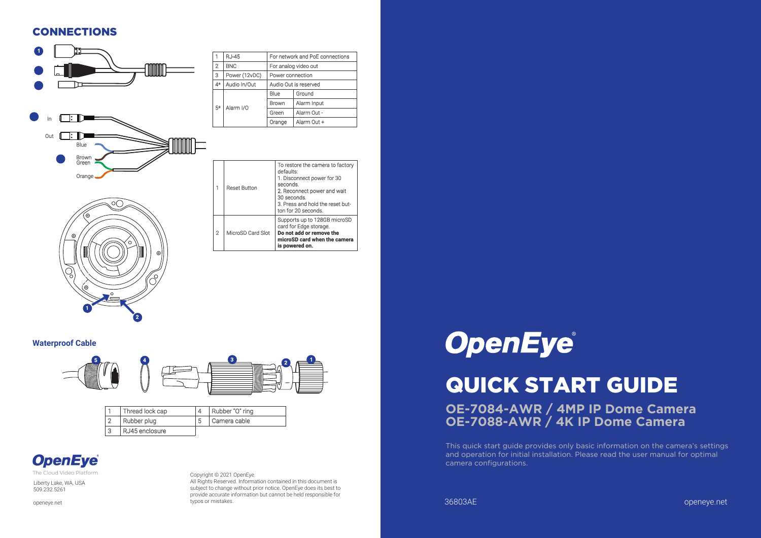#### **CONNECTIONS**



#### **Waterproof Cable**

1

2



|        | Thread lock cap |   | Rubber "O" ring |
|--------|-----------------|---|-----------------|
| $\sim$ | Rubber plug     | 5 | Camera cable    |
| З      | RJ45 enclosure  |   |                 |

## **OpenEye**

The Cloud Video Platform

Liberty Lake, WA, USA 509.232.5261

openeye.net

Copyright © 2021 OpenEye. All Rights Reserved. Information contained in this document is subject to change without prior notice. OpenEye does its best to provide accurate information but cannot be held responsible for typos or mistakes.

# **OpenEye®**

# QUICK START GUIDE

**OE-7084-AWR / 4MP IP Dome Camera OE-7088-AWR / 4K IP Dome Camera**

This quick start guide provides only basic information on the camera's settings and operation for initial installation. Please read the user manual for optimal camera configurations.